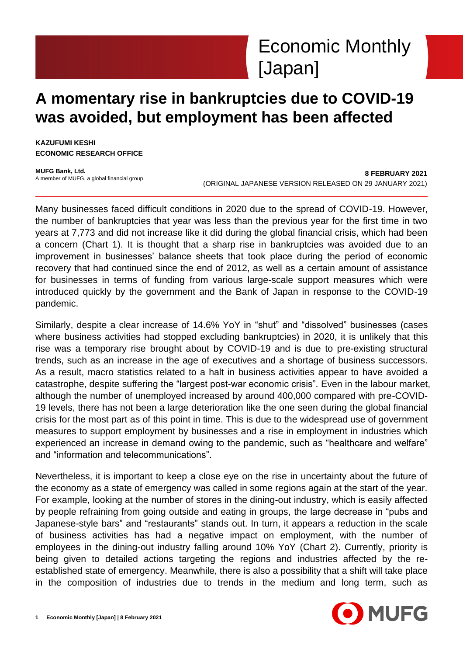

# **A momentary rise in bankruptcies due to COVID-19 was avoided, but employment has been affected**

**KAZUFUMI KESHI ECONOMIC RESEARCH OFFICE**

**MUFG Bank, Ltd.** A member of MUFG, a global financial group

**8 FEBRUARY 2021** (ORIGINAL JAPANESE VERSION RELEASED ON 29 JANUARY 2021)

Many businesses faced difficult conditions in 2020 due to the spread of COVID-19. However, the number of bankruptcies that year was less than the previous year for the first time in two years at 7,773 and did not increase like it did during the global financial crisis, which had been a concern (Chart 1). It is thought that a sharp rise in bankruptcies was avoided due to an improvement in businesses' balance sheets that took place during the period of economic recovery that had continued since the end of 2012, as well as a certain amount of assistance for businesses in terms of funding from various large-scale support measures which were introduced quickly by the government and the Bank of Japan in response to the COVID-19 pandemic.

Similarly, despite a clear increase of 14.6% YoY in "shut" and "dissolved" businesses (cases where business activities had stopped excluding bankruptcies) in 2020, it is unlikely that this rise was a temporary rise brought about by COVID-19 and is due to pre-existing structural trends, such as an increase in the age of executives and a shortage of business successors. As a result, macro statistics related to a halt in business activities appear to have avoided a catastrophe, despite suffering the "largest post-war economic crisis". Even in the labour market, although the number of unemployed increased by around 400,000 compared with pre-COVID-19 levels, there has not been a large deterioration like the one seen during the global financial crisis for the most part as of this point in time. This is due to the widespread use of government measures to support employment by businesses and a rise in employment in industries which experienced an increase in demand owing to the pandemic, such as "healthcare and welfare" and "information and telecommunications".

Nevertheless, it is important to keep a close eye on the rise in uncertainty about the future of the economy as a state of emergency was called in some regions again at the start of the year. For example, looking at the number of stores in the dining-out industry, which is easily affected by people refraining from going outside and eating in groups, the large decrease in "pubs and Japanese-style bars" and "restaurants" stands out. In turn, it appears a reduction in the scale of business activities has had a negative impact on employment, with the number of employees in the dining-out industry falling around 10% YoY (Chart 2). Currently, priority is being given to detailed actions targeting the regions and industries affected by the reestablished state of emergency. Meanwhile, there is also a possibility that a shift will take place in the composition of industries due to trends in the medium and long term, such as

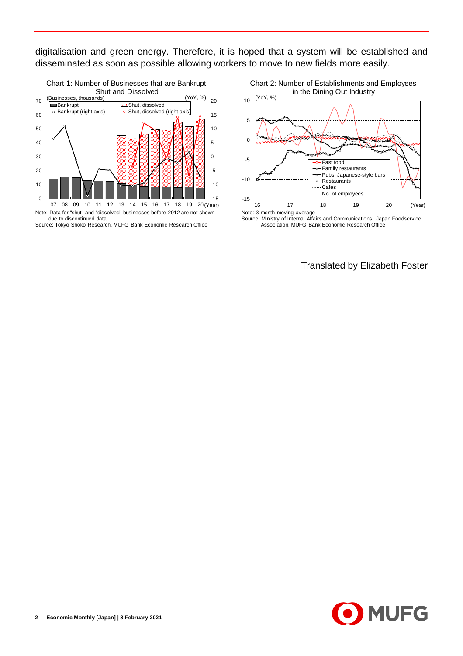digitalisation and green energy. Therefore, it is hoped that a system will be established and disseminated as soon as possible allowing workers to move to new fields more easily.



Source: Tokyo Shoko Research, MUFG Bank Economic Research Office

Chart 2: Number of Establishments and Employees in the Dining Out Industry (YoY, %)



Association, MUFG Bank Economic Research Office

Translated by Elizabeth Foster

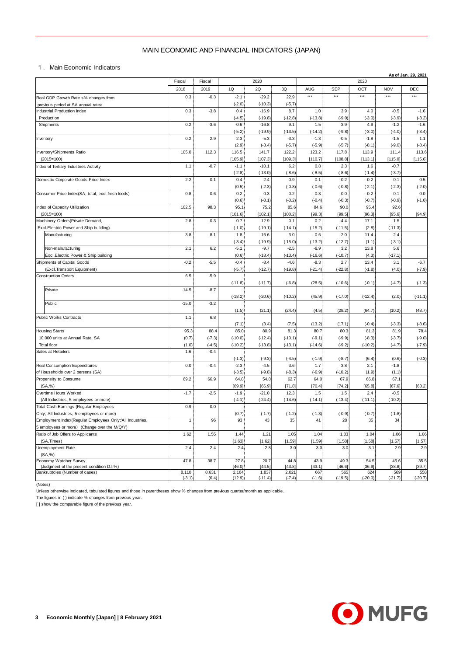## MAIN ECONOMIC AND FINANCIAL INDICATORS (JAPAN)

|                                                                                   | MAIN ECONOMIC AND FINANCIAL INDICATORS (JAPAN) |                        |                    |                      |                     |                     |                    |                    |                     |                  |  |  |
|-----------------------------------------------------------------------------------|------------------------------------------------|------------------------|--------------------|----------------------|---------------------|---------------------|--------------------|--------------------|---------------------|------------------|--|--|
| 1. Main Economic Indicators<br>As of Jan. 29, 2021                                |                                                |                        |                    |                      |                     |                     |                    |                    |                     |                  |  |  |
|                                                                                   | Fiscal                                         | Fiscal<br>2020<br>2020 |                    |                      |                     |                     |                    |                    |                     |                  |  |  |
|                                                                                   | 2018                                           | 2019                   | 1Q                 | 2Q                   | 3Q                  | AUG                 | <b>SEP</b>         | OCT                | <b>NOV</b>          | DEC              |  |  |
| Real GDP Growth Rate <% changes from                                              | 0.3                                            | $-0.3$                 | $-2.1$             | $-29.2$              | 22.9                | $***$               | $***$              | $***$              | $***$               | ***              |  |  |
| previous period at SA annual rate><br><b>Industrial Production Index</b>          | 0.3                                            | $-3.8$                 | $(-2.0)$<br>0.4    | $(-10.3)$<br>$-16.9$ | $(-5.7)$<br>8.7     | 1.0                 | 3.9                | 4.0                | $-0.5$              | $-1.6$           |  |  |
| Production                                                                        |                                                |                        | $(-4.5)$           | $(-19.8)$            | $(-12.8)$           | $(-13.8)$           | $(-9.0)$           | $(-3.0)$           | $(-3.9)$            | $(-3.2)$         |  |  |
| Shipments                                                                         | 0.2                                            | $-3.6$                 | $-0.6$             | $-16.8$              | 9.1                 | 1.5                 | 3.9                | 4.9                | $-1.2$              | $-1.6$           |  |  |
|                                                                                   | 0.2                                            | 2.9                    | $(-5.2)$<br>2.3    | $(-19.9)$<br>$-5.3$  | $(-13.5)$<br>$-3.3$ | $(-14.2)$<br>$-1.3$ | $(-9.8)$<br>$-0.5$ | $(-3.0)$<br>$-1.8$ | $(-4.0)$<br>$-1.5$  | $(-3.4)$<br>1.1  |  |  |
| Inventory                                                                         |                                                |                        | (2.9)              | $(-3.4)$             | $(-5.7)$            | $(-5.9)$            | $(-5.7)$           | $(-8.1)$           | $(-9.0)$            | $(-8.4)$         |  |  |
| Inventory/Shipments Ratio                                                         | 105.0                                          | 112.3                  | 116.5              | 141.7                | 122.2               | 123.2               | 117.8              | 113.9              | 111.4               | 113.6            |  |  |
| $(2015=100)$                                                                      |                                                |                        | [105.9]            | [107.3]              | [109.3]             | [110.7]             | [108.8]            | [113.1]            | [115.0]             | [115.6]          |  |  |
| Index of Tertiary Industries Activity                                             | 1.1                                            | $-0.7$                 | $-1.1$<br>$(-2.8)$ | $-10.1$<br>$(-13.0)$ | 6.2<br>$(-8.6)$     | 0.8<br>$(-8.5)$     | 2.3<br>$(-8.6)$    | 1.6<br>$(-1.4)$    | $-0.7$<br>$(-3.7)$  |                  |  |  |
| Domestic Corporate Goods Price Index                                              | 2.2                                            | 0.1                    | $-0.4$             | $-2.4$               | 0.9                 | 0.1                 | $-0.2$             | $-0.2$             | $-0.1$              | 0.5              |  |  |
|                                                                                   |                                                |                        | (0.5)              | $(-2.3)$             | $(-0.8)$            | $(-0.6)$            | $(-0.8)$           | $(-2.1)$           | $(-2.3)$            | $(-2.0)$         |  |  |
| Consumer Price Index(SA, total, excl.fresh foods)                                 | 0.8                                            | 0.6                    | $-0.2$             | $-0.3$               | $-0.2$              | $-0.3$              | 0.0                | $-0.2$             | $-0.1$              | 0.0              |  |  |
| Index of Capacity Utilization                                                     | 102.5                                          | 98.3                   | (0.6)<br>95.1      | $(-0.1)$<br>75.2     | $(-0.2)$<br>85.6    | $(-0.4)$<br>84.6    | $(-0.3)$<br>90.0   | $(-0.7)$<br>95.4   | $(-0.9)$<br>92.6    | $(-1.0)$         |  |  |
| $(2015=100)$                                                                      |                                                |                        | [101.6]            | [102.1]              | [100.2]             | [99.3]              | [99.5]             | [96.3]             | [95.6]              | [94.9]           |  |  |
| Machinery Orders (Private Demand,                                                 | 2.8                                            | $-0.3$                 | $-0.7$             | $-12.9$              | $-0.1$              | 0.2                 | $-4.4$             | 17.1               | 1.5                 |                  |  |  |
| Excl.Electric Power and Ship building)                                            |                                                |                        | $(-1.0)$           | $(-19.1)$            | $(-14.1)$           | $(-15.2)$           | $(-11.5)$          | (2.8)              | $(-11.3)$           |                  |  |  |
| Manufacturing                                                                     | 3.8                                            | $-8.1$                 | 1.8<br>$(-3.4)$    | $-16.6$<br>$(-19.9)$ | 3.0<br>$(-15.0)$    | $-0.6$<br>$(-13.2)$ | 2.0<br>$(-12.7)$   | 11.4<br>(1.1)      | $-2.4$<br>$(-3.1)$  |                  |  |  |
| Non-manufacturing                                                                 | 2.1                                            | 6.2                    | $-5.1$             | $-9.7$               | $-2.5$              | $-6.9$              | 3.2                | 13.8               | 5.6                 |                  |  |  |
| Excl. Electric Power & Ship building                                              |                                                |                        | (0.6)              | $(-18.4)$            | $(-13.4)$           | $(-16.6)$           | $(-10.7)$          | (4.3)              | $(-17.1)$           |                  |  |  |
| Shipments of Capital Goods                                                        | $-0.2$                                         | $-5.5$                 | $-0.4$             | $-8.4$               | $-4.6$              | $-8.3$              | 2.7                | 13.4               | 3.1                 | $-6.7$           |  |  |
| (Excl.Transport Equipment)<br><b>Construction Orders</b>                          | 6.5                                            | $-5.9$                 | $(-5.7)$           | $(-12.7)$            | $(-19.8)$           | $(-21.4)$           | $(-22.8)$          | $(-1.8)$           | (4.0)               | $(-7.9)$         |  |  |
|                                                                                   |                                                |                        | $(-11.8)$          | $(-11.7)$            | $(-6.8)$            | (28.5)              | $(-10.6)$          | $(-0.1)$           | $(-4.7)$            | $(-1.3)$         |  |  |
| Private                                                                           | 14.5                                           | $-8.7$                 |                    |                      |                     |                     |                    |                    |                     |                  |  |  |
| Public                                                                            |                                                | $-3.2$                 | $(-18.2)$          | $(-20.6)$            | $(-10.2)$           | (45.9)              | $(-17.0)$          | $(-12.4)$          | (2.0)               | $(-11.1)$        |  |  |
|                                                                                   | $-15.0$                                        |                        | (1.5)              | (21.1)               | (24.4)              | (4.5)               | (28.2)             | (64.7)             | (10.2)              | (48.7)           |  |  |
| Public Works Contracts                                                            | 1.1                                            | 6.8                    |                    |                      |                     |                     |                    |                    |                     |                  |  |  |
|                                                                                   |                                                |                        | (7.1)              | (3.4)                | (7.5)               | (13.2)              | (17.1)             | $(-0.4)$           | $(-3.3)$            | $(-8.6)$         |  |  |
| <b>Housing Starts</b><br>10,000 units at Annual Rate, SA                          | 95.3<br>(0.7)                                  | 88.4<br>$(-7.3)$       | 85.0<br>$(-10.0)$  | 80.9<br>$(-12.4)$    | 81.3<br>$(-10.1)$   | 80.7<br>$(-9.1)$    | 80.3<br>$(-9.9)$   | 81.3<br>$(-8.3)$   | 81.9<br>$(-3.7)$    | 78.4<br>$(-9.0)$ |  |  |
| Total floor                                                                       | (1.0)                                          | $(-4.5)$               | $(-10.2)$          | $(-13.8)$            | $(-13.1)$           | $(-14.6)$           | $(-9.2)$           | $(-10.2)$          | $(-4.7)$            | $(-7.9)$         |  |  |
| Sales at Retailers                                                                | 1.6                                            | $-0.4$                 |                    |                      |                     |                     |                    |                    |                     |                  |  |  |
|                                                                                   |                                                |                        | $(-1.3)$           | $(-9.3)$             | $(-4.5)$            | $(-1.9)$            | $(-8.7)$           | (6.4)              | (0.6)               | $(-0.3)$         |  |  |
| Real Consumption Expenditures<br>of Households over 2 persons (SA)                | 0.0                                            | $-0.4$                 | $-2.3$<br>$(-3.5)$ | $-4.5$<br>$(-9.8)$   | 3.6<br>$(-8.3)$     | 1.7<br>$(-6.9)$     | 3.8<br>$(-10.2)$   | 2.1<br>(1.9)       | $-1.8$<br>(1.1)     |                  |  |  |
| Propensity to Consume                                                             | 69.2                                           | 66.9                   | 64.8               | 54.8                 | 62.7                | 64.0                | 67.9               | 66.8               | 67.1                |                  |  |  |
| (SA, %)                                                                           |                                                |                        | [69.9]             | [66.9]               | [71.8]              | [70.4]              | [74.2]             | [65.8]             | [67.6]              | [63.2]           |  |  |
| Overtime Hours Worked<br>(All Industries, 5 employees or more)                    | $-1.7$                                         | $-2.5$                 | $-1.9$<br>$(-4.1)$ | $-21.0$<br>$(-24.4)$ | 12.3<br>$(-14.6)$   | 1.5<br>$(-14.1)$    | 1.5<br>$(-13.4)$   | 2.4<br>$(-11.1)$   | $-0.5$<br>$(-10.2)$ |                  |  |  |
| Total Cash Eamings (Regular Employees                                             | 0.9                                            | 0.0                    |                    |                      |                     |                     |                    |                    |                     |                  |  |  |
| Only; All Industries, 5 employees or more)                                        |                                                |                        | (0.7)              | $(-1.7)$             | $(-1.2)$            | $(-1.3)$            | $(-0.9)$           | $(-0.7)$           | $(-1.8)$            |                  |  |  |
| Employment Index(Regular Employees Only;'All Industries,                          | 1                                              | 96                     | 93                 | 43                   | 35                  | 41                  | 28                 | 35                 | 34                  |                  |  |  |
| 5 employees or more) (Change over the M/Q/Y)<br>Ratio of Job Offers to Applicants | 1.62                                           | 1.55                   | 1.44               | 1.21                 | 1.05                | 1.04                | 1.03               | 1.04               | 1.06                | 1.06             |  |  |
| (SA, Times)                                                                       |                                                |                        | [1.63]             | [1.62]               | [1.59]              | [1.59]              | [1.58]             | [1.58]             | [1.57]              | [1.57]           |  |  |
| Unemployment Rate                                                                 | 2.4                                            | 2.4                    | 2.4                | 2.8                  | 3.0                 | 3.0                 | 3.0                | 3.1                | 2.9                 | 2.9              |  |  |
| (SA, %)<br>Economy Watcher Survey                                                 | 47.8                                           | 38.7                   | 27.8               | 20.7                 | 44.8                | 43.9                | 49.3               | 54.5               | 45.6                | 35.5             |  |  |
| (Judgment of the present condition D.I,%)                                         |                                                |                        | [46.0]             | [44.5]               | [43.8]              | [43.1]              | [46.6]             | [36.9]             | [38.8]              | [39.7]           |  |  |
| Bankruptcies (Number of cases)                                                    | 8,110<br>$(-3.1)$                              | 8,631<br>(6.4)         | 2,164<br>(12.9)    | 1,837<br>$(-11.4)$   | 2,021<br>$(-7.4)$   | 667<br>$(-1.6)$     | 565<br>$(-19.5)$   | 624<br>$(-20.0)$   | 569<br>$(-21.7)$    | 558<br>$(-20.7)$ |  |  |

(Notes)

Unless otherwise indicated, tabulated figures and those in parentheses show % changes from previous quarter/month as applicable.

The figures in ( ) indicate % changes from previous year.

[ ] show the comparable figure of the previous year.